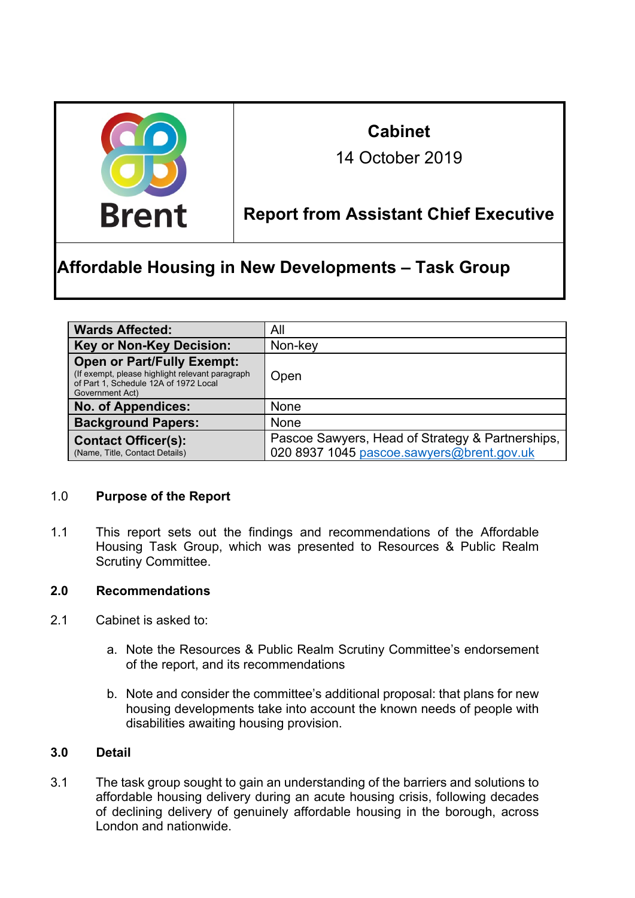

# **Cabinet**

14 October 2019

### **Report from Assistant Chief Executive**

## Report **Affordable Housing in New Developments – Task Group**

| <b>Wards Affected:</b>                                                                                                                           | All                                                                                           |
|--------------------------------------------------------------------------------------------------------------------------------------------------|-----------------------------------------------------------------------------------------------|
| <b>Key or Non-Key Decision:</b>                                                                                                                  | Non-key                                                                                       |
| <b>Open or Part/Fully Exempt:</b><br>(If exempt, please highlight relevant paragraph<br>of Part 1, Schedule 12A of 1972 Local<br>Government Act) | Open                                                                                          |
| <b>No. of Appendices:</b>                                                                                                                        | <b>None</b>                                                                                   |
| <b>Background Papers:</b>                                                                                                                        | <b>None</b>                                                                                   |
| <b>Contact Officer(s):</b><br>(Name, Title, Contact Details)                                                                                     | Pascoe Sawyers, Head of Strategy & Partnerships,<br>020 8937 1045 pascoe.sawyers@brent.gov.uk |

#### 1.0 **Purpose of the Report**

1.1 This report sets out the findings and recommendations of the Affordable Housing Task Group, which was presented to Resources & Public Realm Scrutiny Committee.

#### **2.0 Recommendations**

- 2.1 Cabinet is asked to:
	- a. Note the Resources & Public Realm Scrutiny Committee's endorsement of the report, and its recommendations
	- b. Note and consider the committee's additional proposal: that plans for new housing developments take into account the known needs of people with disabilities awaiting housing provision.

#### **3.0 Detail**

3.1 The task group sought to gain an understanding of the barriers and solutions to affordable housing delivery during an acute housing crisis, following decades of declining delivery of genuinely affordable housing in the borough, across London and nationwide.